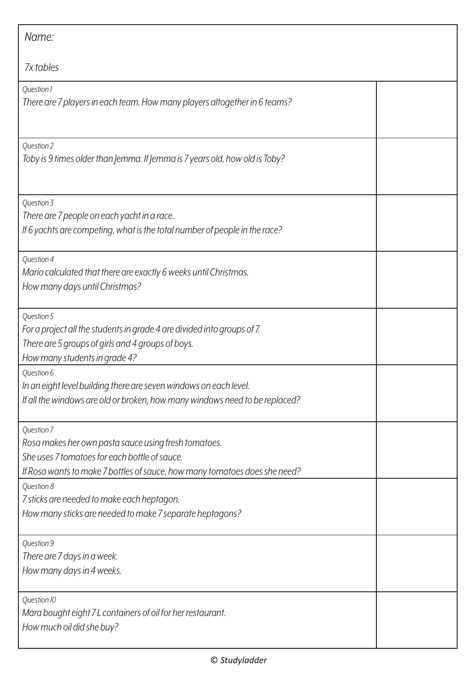| Name:                                                                                                                                                                                             |  |
|---------------------------------------------------------------------------------------------------------------------------------------------------------------------------------------------------|--|
| <b>7x tables</b>                                                                                                                                                                                  |  |
| Question 1<br>There are 7 players in each team. How many players altogether in 6 teams?                                                                                                           |  |
| Question 2<br>Toby is 9 times older than Jemma. If Jemma is 7 years old, how old is Toby?                                                                                                         |  |
| Question 3<br>There are 7 people on each yacht in a race.<br>If 6 yachts are competing, what is the total number of people in the race?                                                           |  |
| Question 4<br>Mario calculated that there are exactly 6 weeks until Christmas.<br>How many days until Christmas?                                                                                  |  |
| Question 5<br>For a project all the students in grade 4 are divided into groups of 7.<br>There are 5 groups of girls and 4 groups of boys.<br>How many students in grade 4?                       |  |
| Question 6<br>In an eight level building there are seven windows on each level.<br>If all the windows are old or broken, how many windows need to be replaced?                                    |  |
| Question 7<br>Rosa makes her own pasta sauce using fresh tomatoes.<br>She uses 7 tomatoes for each bottle of sauce.<br>If Rosa wants to make 7 bottles of sauce, how many tomatoes does she need? |  |
| Question 8<br>7 sticks are needed to make each heptagon.<br>How many sticks are needed to make 7 separate heptagons?                                                                              |  |
| Question 9<br>There are 7 days in a week.<br>How many days in 4 weeks.                                                                                                                            |  |
| Question 10<br>Mara bought eight 7L containers of oil for her restaurant.<br>How much oil did she buy?                                                                                            |  |